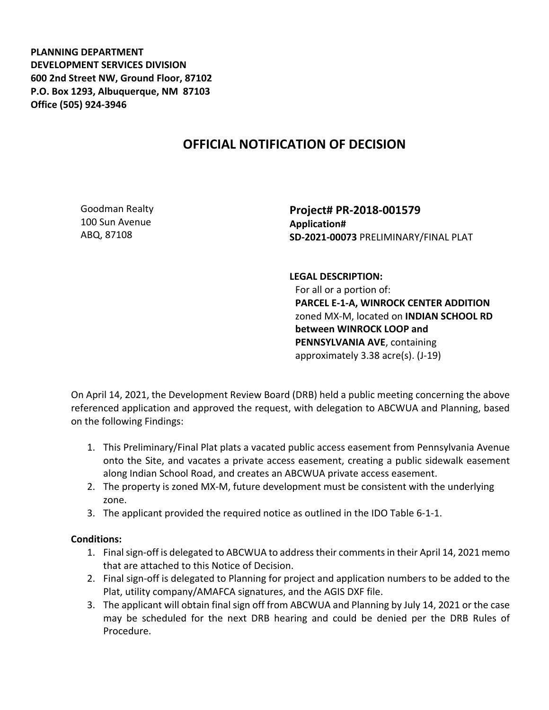**PLANNING DEPARTMENT DEVELOPMENT SERVICES DIVISION 600 2nd Street NW, Ground Floor, 87102 P.O. Box 1293, Albuquerque, NM 87103 Office (505) 924-3946** 

## **OFFICIAL NOTIFICATION OF DECISION**

Goodman Realty 100 Sun Avenue ABQ, 87108

**Project# PR-2018-001579 Application# SD-2021-00073** PRELIMINARY/FINAL PLAT

**LEGAL DESCRIPTION:** For all or a portion of: **PARCEL E-1-A, WINROCK CENTER ADDITION** zoned MX-M, located on **INDIAN SCHOOL RD between WINROCK LOOP and PENNSYLVANIA AVE**, containing approximately 3.38 acre(s). (J-19)

On April 14, 2021, the Development Review Board (DRB) held a public meeting concerning the above referenced application and approved the request, with delegation to ABCWUA and Planning, based on the following Findings:

- 1. This Preliminary/Final Plat plats a vacated public access easement from Pennsylvania Avenue onto the Site, and vacates a private access easement, creating a public sidewalk easement along Indian School Road, and creates an ABCWUA private access easement.
- 2. The property is zoned MX-M, future development must be consistent with the underlying zone.
- 3. The applicant provided the required notice as outlined in the IDO Table 6-1-1.

## **Conditions:**

- 1. Final sign-off is delegated to ABCWUA to address their comments in their April 14, 2021 memo that are attached to this Notice of Decision.
- 2. Final sign-off is delegated to Planning for project and application numbers to be added to the Plat, utility company/AMAFCA signatures, and the AGIS DXF file.
- 3. The applicant will obtain final sign off from ABCWUA and Planning by July 14, 2021 or the case may be scheduled for the next DRB hearing and could be denied per the DRB Rules of Procedure.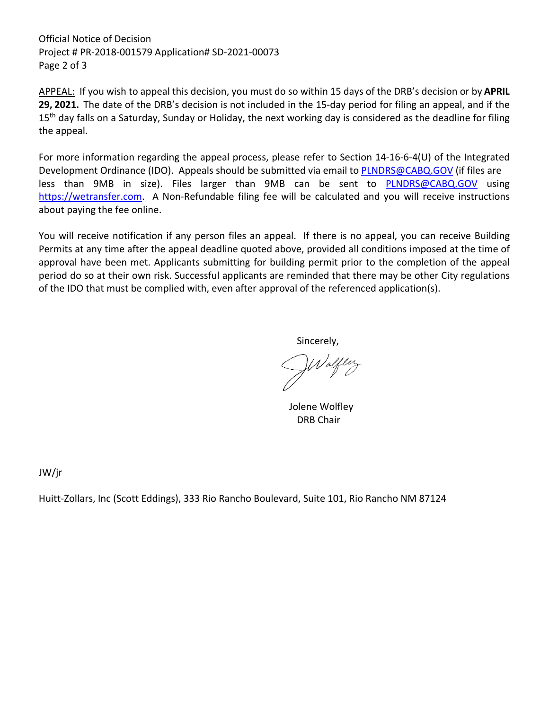Official Notice of Decision Project # PR-2018-001579 Application# SD-2021-00073 Page 2 of 3

APPEAL: If you wish to appeal this decision, you must do so within 15 days of the DRB's decision or by **APRIL 29, 2021.** The date of the DRB's decision is not included in the 15-day period for filing an appeal, and if the 15<sup>th</sup> day falls on a Saturday, Sunday or Holiday, the next working day is considered as the deadline for filing the appeal.

For more information regarding the appeal process, please refer to Section 14-16-6-4(U) of the Integrated Development Ordinance (IDO). Appeals should be submitted via email to [PLNDRS@CABQ.GOV](mailto:PLNDRS@CABQ.GOV) (if files are less than 9MB in size). Files larger than 9MB can be sent to [PLNDRS@CABQ.GOV](mailto:PLNDRS@CABQ.GOV) using [https://wetransfer.com.](https://wetransfer.com/) A Non-Refundable filing fee will be calculated and you will receive instructions about paying the fee online.

You will receive notification if any person files an appeal. If there is no appeal, you can receive Building Permits at any time after the appeal deadline quoted above, provided all conditions imposed at the time of approval have been met. Applicants submitting for building permit prior to the completion of the appeal period do so at their own risk. Successful applicants are reminded that there may be other City regulations of the IDO that must be complied with, even after approval of the referenced application(s).

Sincerely,

Wolfley

 Jolene Wolfley DRB Chair

JW/jr

Huitt-Zollars, Inc (Scott Eddings), 333 Rio Rancho Boulevard, Suite 101, Rio Rancho NM 87124